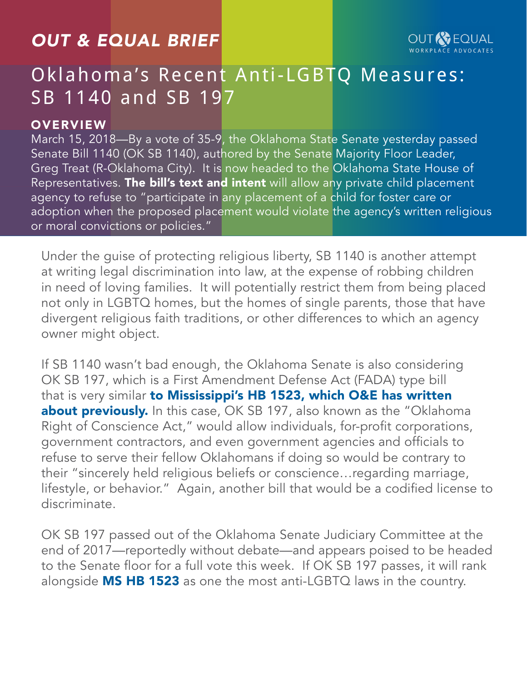## *OUT & EQUAL BRIEF*

# Oklahoma's Recent Anti-LGBTQ Measures: SB 1140 and SB 197

#### **OVERVIEW**

March 15, 2018—By a vote of 35-9, the Oklahoma State Senate yesterday passed Senate Bill 1140 (OK SB 1140), authored by the Senate Majority Floor Leader, Greg Treat (R-Oklahoma City). It is now headed to the Oklahoma State House of Representatives. [The bill's text and intent](http://webserver1.lsb.state.ok.us/cf_pdf/2017-18%20FLR/SFLR/SB1140%20SFLR.PDF) will allow any private child placement agency to refuse to "participate in any placement of a child for foster care or adoption when the proposed placement would violate the agency's written religious or moral convictions or policies."

Under the guise of protecting religious liberty, SB 1140 is another attempt at writing legal discrimination into law, at the expense of robbing children in need of loving families. It will potentially restrict them from being placed not only in LGBTQ homes, but the homes of single parents, those that have divergent religious faith traditions, or other differences to which an agency owner might object.

If SB 1140 wasn't bad enough, the Oklahoma Senate is also considering OK SB 197, which is a First Amendment Defense Act (FADA) type bill that is very similar to Mississippi's HB 1523, which O&E has written [about previously.](http://outandequal.org/app/uploads/2017/12/OEB-Mississippi.pdf) In this case, OK SB 197, also known as the "Oklahoma Right of Conscience Act," would allow individuals, for-profit corporations, government contractors, and even government agencies and officials to refuse to serve their fellow Oklahomans if doing so would be contrary to their "sincerely held religious beliefs or conscience…regarding marriage, lifestyle, or behavior." Again, another bill that would be a codified license to discriminate.

OK SB 197 passed out of the Oklahoma Senate Judiciary Committee at the end of 2017—reportedly without debate—and appears poised to be headed to the Senate floor for a full vote this week. If OK SB 197 passes, it will rank alongside  $MS$  HB 1523 as one the most anti-LGBTQ laws in the country.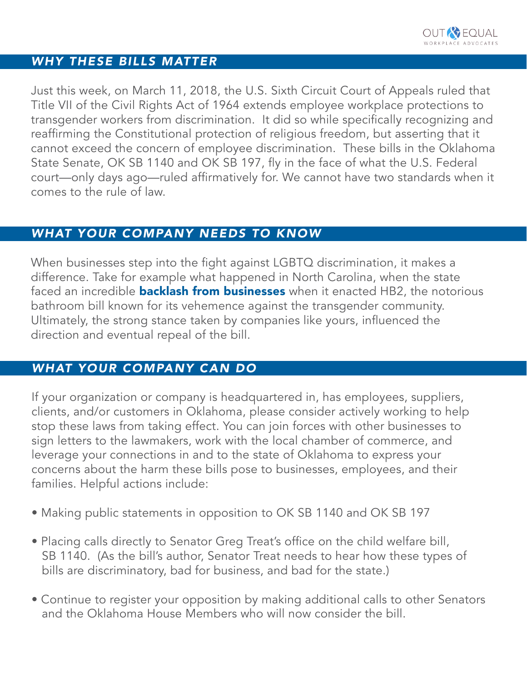#### *WHY THESE BILLS MATTER*

Just this week, on March 11, 2018, the U.S. Sixth Circuit Court of Appeals ruled that Title VII of the Civil Rights Act of 1964 extends employee workplace protections to transgender workers from discrimination. It did so while specifically recognizing and reaffirming the Constitutional protection of religious freedom, but asserting that it cannot exceed the concern of employee discrimination. These bills in the Oklahoma State Senate, OK SB 1140 and OK SB 197, fly in the face of what the U.S. Federal court—only days ago—ruled affirmatively for. We cannot have two standards when it comes to the rule of law.

#### *WHAT YOUR COMPANY NEEDS TO KNOW*

When businesses step into the fight against LGBTQ discrimination, it makes a difference. Take for example what happened in North Carolina, when the state faced an incredible **[backlash from businesses](https://www.theguardian.com/world/2016/apr/15/north-carolina-lgbt-law-business-backlash)** when it enacted HB2, the notorious bathroom bill known for its vehemence against the transgender community. Ultimately, the strong stance taken by companies like yours, influenced the direction and eventual repeal of the bill.

#### *WHAT YOUR COMPANY CAN DO*

If your organization or company is headquartered in, has employees, suppliers, clients, and/or customers in Oklahoma, please consider actively working to help stop these laws from taking effect. You can join forces with other businesses to sign letters to the lawmakers, work with the local chamber of commerce, and leverage your connections in and to the state of Oklahoma to express your concerns about the harm these bills pose to businesses, employees, and their families. Helpful actions include:

- Making public statements in opposition to OK SB 1140 and OK SB 197
- Placing calls directly to Senator Greg Treat's office on the child welfare bill, SB 1140. (As the bill's author, Senator Treat needs to hear how these types of bills are discriminatory, bad for business, and bad for the state.)
- Continue to register your opposition by making additional calls to other Senators and the Oklahoma House Members who will now consider the bill.